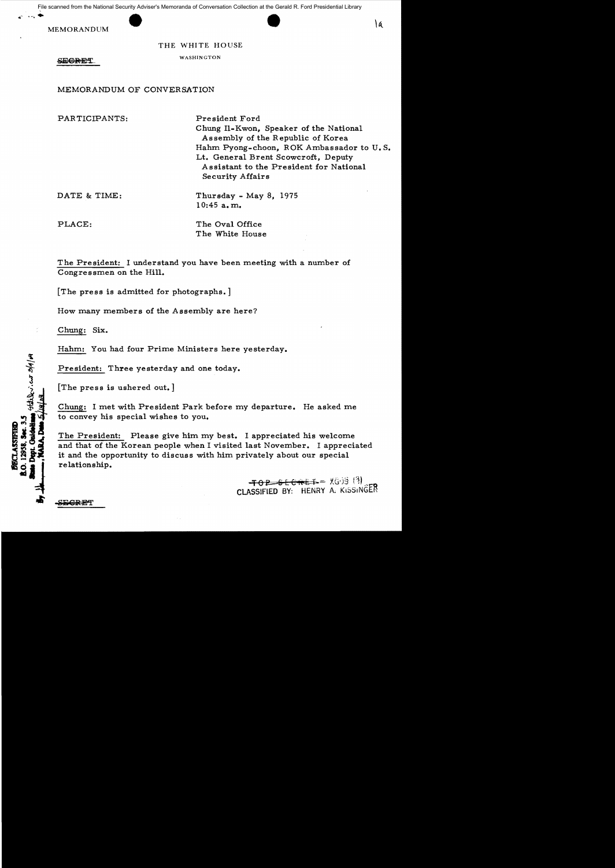File scanned from the National Security Adviser's Memoranda of Conversation Collection at the Gerald R. Ford Presidential Library

MEMORANDUM

THE WHITE HOUSE WASHINGTON

**SECRET** 

MEMORANDUM OF CONVERSATION

PARTICIPANTS: DATE & TIME: PLACE: President Ford Chung Il-Kwon, Speaker of the National Assembly of the Republic of Korea Hahm pyong-choon, ROK Ambassador to U. S. Lt. General Brent Scowcroft, Deputy Assistant to the President for National Security Affairs Thursday - May 8, 1975 10:45 a. m. The Oval Office The White House

The President: I understand you have been meeting with a number of Congressmen on the Hill.

[The press is admitted for photographs. ]

How many members of the Assembly are here?

Chung: Six.

**SEGRET** 

Hahm: You had four Prime Ministers here yesterday.

President: Three yesterday and one today.

[The press is ushered out. ]

Chung: I met with President Park before my departure. He asked me to convey his special wishes to you.

The President: Please give him my best. I appreciated his welcome and that of the Korean people when I visited last November. I appreciated it and the opportunity to discuss with him privately about our special relationship.

> $-$ <del>TO B S E C  $\hat{n}$  E  $\hat{n}$ </del> =  $\chi$ (3) (3) ClASSIFIED BY: HENRY A; KiSSINGER

"l  $m/|\nu|$  $\ddot{\bm{\mathcal{S}}}$ 5.5<br>**}** star)<br>} } a/14/ay **ii:180**<br>Sec. 3.5<br>kidolling<br>k,Dan 5 **G**.<br>**S**.<br>**G**.<br>**E**<br>**A** ~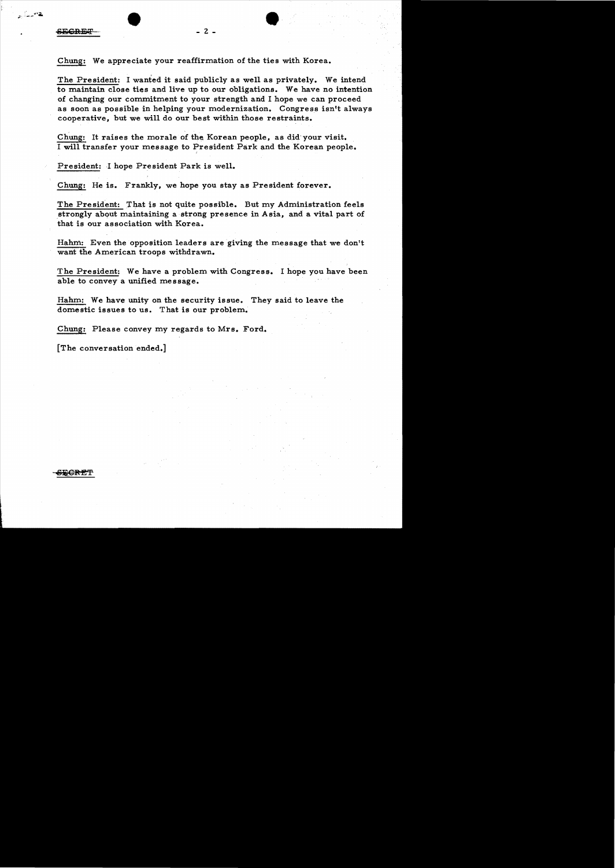• • :' "..... ,;:. ..,;.:- ...

Chung: We appreciate your reaffirmation of the ties with Korea.

The President: I wanted it said publicly as well as privately. We intend to maintain close ties and live up to our obligations. We have no intention of changing our commitment to your strength and I hope we can proceed as soon as possible in helping your modernization. Congress isn't always cooperative, but we will do our best within those restraints.

Chung: It raises the morale of the Korean people, as did- your visit. I will transfer your message to President Park and the Korean people.

President: I hope President Park is well.

Chung: He is. Frankly, we hope you stay as President forever.

The President: That is not quite possible. But my Administration feels strongly about maintaining a strong presence in Asia, and a vital part of that is our association with Korea.

Hahm: Even the opposition leaders are giving the message that we don't want the American troops withdrawn.

The President: We have a problem with Congress. I hope you have been able to convey a unified message.

Hahm: We have unity on the security issue. They said to leave the domestic issues to us. That is our problem.

Chung: Please convey my regards to Mrs. Ford.

[The conversation ended.]

**JEGRET**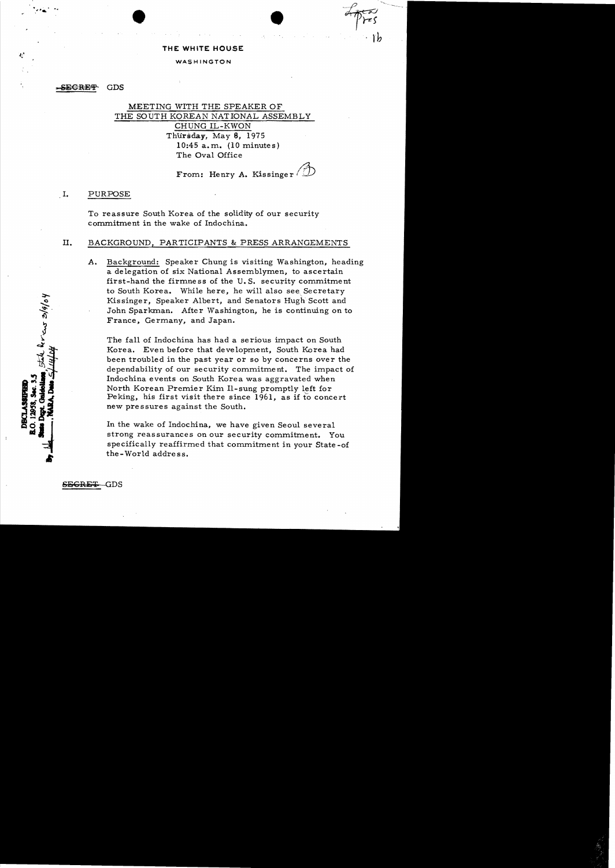#### **THE WHITE HOUSE**

#### WASHINGTON

-SEGRET **GDS** 

# MEETING WITH THE SPEAKER OF THE SOUTH KOREAN NATIONAL ASSEMBLY CHUNG IL-KWON Thursday, May 8, 1975 10:45 a.m. (10 minutes) The Oval Office

# From: Henry A. Kissinger (

 $\bullet$ 

I. PURPOSE

To reassure South Korea of the solidity of our security commitment in the wake of Indochina.

## **ll.** BACKGROUND, PARTICIPANTS & PRESS ARRANGEMENTS

A. Background: Speaker Chung is visiting Washington, heading a delegation of six National Assemblymen, to ascertain first-hand the firmness of the U. S. security commitment to South Korea. While here, he will also see. Secretary Kissinger, Speaker Albert, and Senators Hugh Scott and John Sparkman. After Washington, he is continuing on to France, Germany, and Japan.

The fall of Indochina has had a serious impact on South Korea. Even before that development, South Korea had been troubled in the past year or so by concerns over the dependability of our security commitment. The impact of Indochina events on South Korea was aggravated when North Korean Premier Kim Il-sung promptly left for Peking, his first visit there since 1961, as if to concert new pressures against the South.

In the wake of Indochina, we have given Seoul several strong reassurances on our security commitment. You specifically reaffirmed that commitment in your State -of the-World address.

SE<del>GRET</del> GDS

il heraus 3/9/04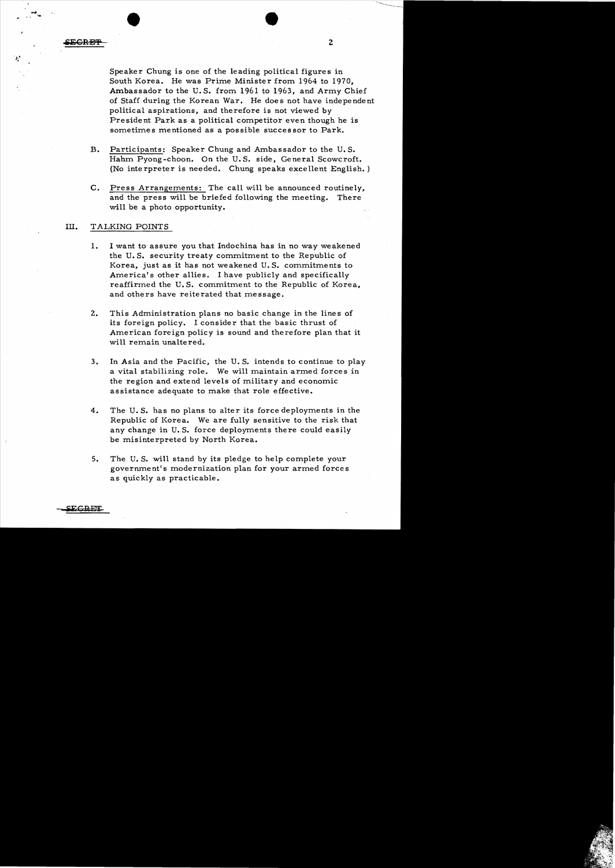•

Speaker Chung is one of the leading political figures in South Korea. He was Prime Minister from 1964 to 1970, Ambassador to the U. S. from 1961 to 1963, and Army Chief of Staff during the Korean War. He does not have independent political aspirations, and therefore is not viewed by President Park as a political competitor even though he is sometimes mentioned as a possible successor to Park.

- B. Participants: Speaker Chung and Ambassador to the U.S. Hahm Pyong-choon. On the U. S. side. General Scowcroft. (No interpreter is needed. Chung speaks excellent English. )
- C. Press Arrangements: The call will be announced routinely, and the press will be briefed following the meeting. There will be a photo opportunity.

### Ill. TALKING POINTS

- 1. I want to assure you that Indochina has in no way weakened the U. S. security treaty commitment to the Republic of Korea, just as it has not weakened U. S. commitments to America's other allies. I have publicly and specifically reaffirmed the U. S. commitment to the Republic of Korea, and others have reiterated that message.
- 2. This Administration plans no basic change in the lines of its foreign policy. I consider that the basic thrust of American foreign policy is sound and therefore plan that it will remain unaltered.
- 3. In Asia and the Pacific, the U. S. intends to continue to play a vital stabilizing role. We will maintain armed forces in the region and extend levels of military and economic assistance adequate to make that role effective.
- 4. The U. S. has no plans to alter its force deployments in the Republic of Korea. We are fully sensitive to the risk that any change in U. S. force deployments there could easily be misinterpreted by North Korea.
- 5. The U.S. will stand by its pledge to help complete your goverrunent's modernization plan for your armed forces as quickly as practicable.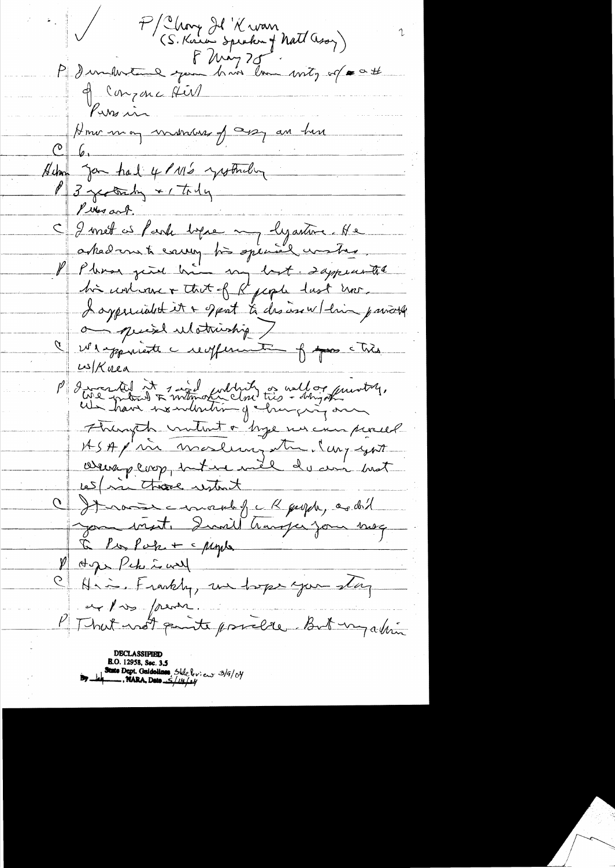P/Chang Il 'K wan<br>(S. Knew Speaken of Natt ason) P dum hvere gen huissen unity of a att 9 Conzonce Airl Kussin Home may makeuse of assy an him Silm Jon had 4 11/2 youtheling C I met is fark bepaen og lyastone. He<br>asked om ti enneg bis spensel worten I oxpressabet it a sport to desire w/ling parroll ais quiet ulatristiq 7 le réponiente reglement forme che  $\frac{\mu}{K}$ nea P discretif it suidant tribe a villagement, Hungth untato byene an proced ASA p'in modern et lui gént C It now enough i K guyda, as did Jom visit. Quait transfer jour meg  $I \subset P$ is  $P \circ P$ ie + < pique M Age Pche is well Him Frankly, un hope you stay et pros freme. P That not quite pricie, But un abien B.O. 12958, Sec. 3.5<br>State Dept. Guidolines, Stile leview 3/9/04